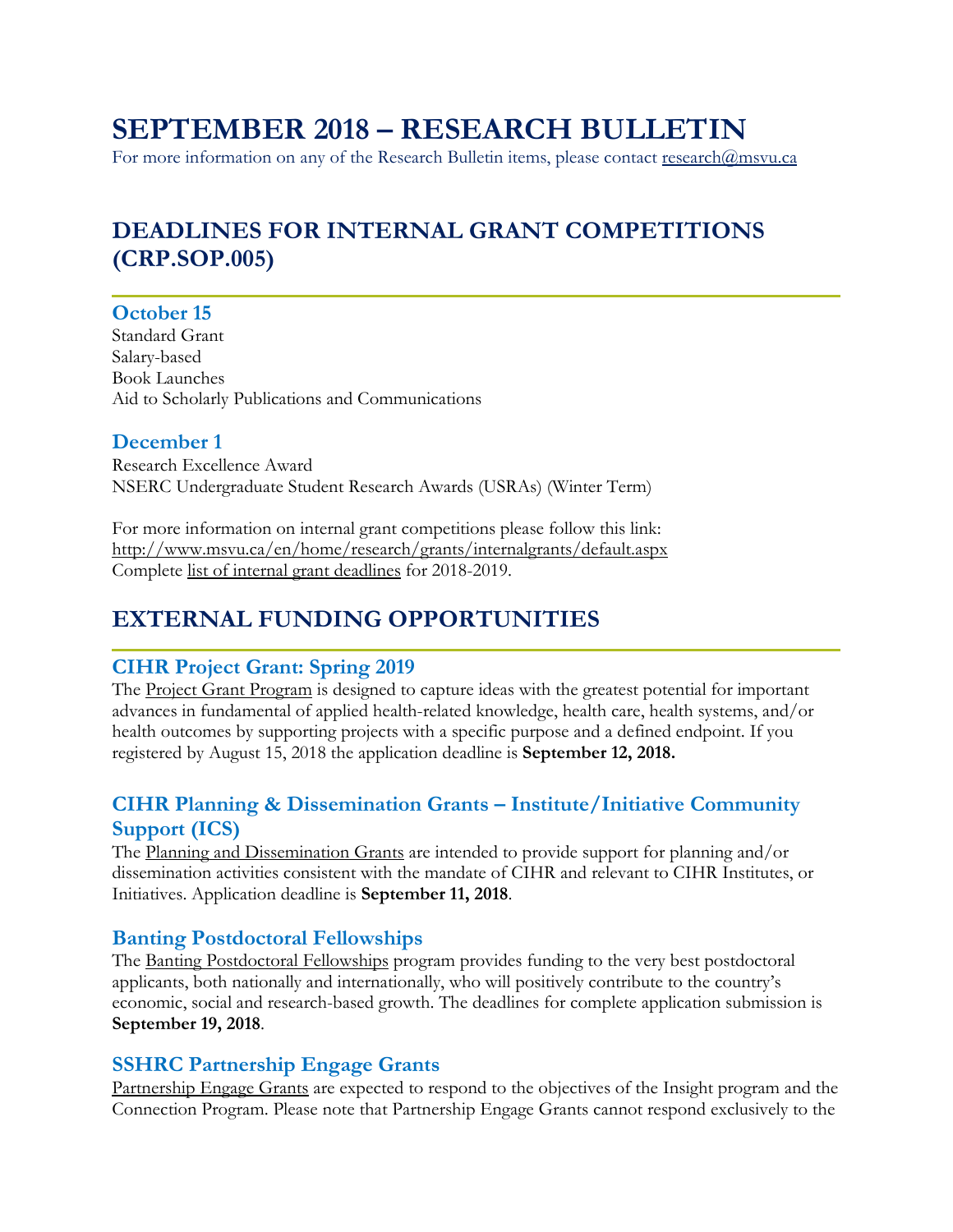# **SEPTEMBER 2018 – RESEARCH BULLETIN**

For more information on any of the Research Bulletin items, please contact [research@msvu.ca](mailto:research@msvu.ca)

# **DEADLINES FOR INTERNAL GRANT COMPETITIONS (CRP.SOP.005)**

#### **October 15**

Standard Grant Salary-based Book Launches Aid to Scholarly Publications and Communications

#### **December 1**

Research Excellence Award NSERC Undergraduate Student Research Awards (USRAs) (Winter Term)

For more information on internal grant competitions please follow this link: <http://www.msvu.ca/en/home/research/grants/internalgrants/default.aspx> Complete list of internal grant deadlines for 2018-2019.

# **EXTERNAL FUNDING OPPORTUNITIES**

#### **CIHR Project Grant: Spring 2019**

The **Project Grant Program** is designed to capture ideas with the greatest potential for important advances in fundamental of applied health-related knowledge, health care, health systems, and/or health outcomes by supporting projects with a specific purpose and a defined endpoint. If you registered by August 15, 2018 the application deadline is **September 12, 2018.**

#### **CIHR Planning & Dissemination Grants – Institute/Initiative Community Support (ICS)**

The [Planning and Dissemination Grants](https://www.researchnet-recherchenet.ca/rnr16/vwOpprtntyDtls.do?prog=2938&view=currentOpps&org=CIHR&type=EXACT&resultCount=25&sort=program&next=1&all=1&masterList=true) are intended to provide support for planning and/or dissemination activities consistent with the mandate of CIHR and relevant to CIHR Institutes, or Initiatives. Application deadline is **September 11, 2018**.

#### **Banting Postdoctoral Fellowships**

The [Banting Postdoctoral Fellowships](https://www.researchnet-recherchenet.ca/rnr16/vwOpprtntyDtls.do?prog=2848&view=currentOpps&org=CIHR&type=EXACT&resultCount=25&sort=program&next=1&all=1&masterList=true) program provides funding to the very best postdoctoral applicants, both nationally and internationally, who will positively contribute to the country's economic, social and research-based growth. The deadlines for complete application submission is **September 19, 2018**.

#### **SSHRC Partnership Engage Grants**

[Partnership Engage Grants](http://www.sshrc-crsh.gc.ca/funding-financement/programs-programmes/partnership_engage_grants-subventions_d_engagement_partenarial-eng.aspx?pedisable=true) are expected to respond to the objectives of the Insight program and the Connection Program. Please note that Partnership Engage Grants cannot respond exclusively to the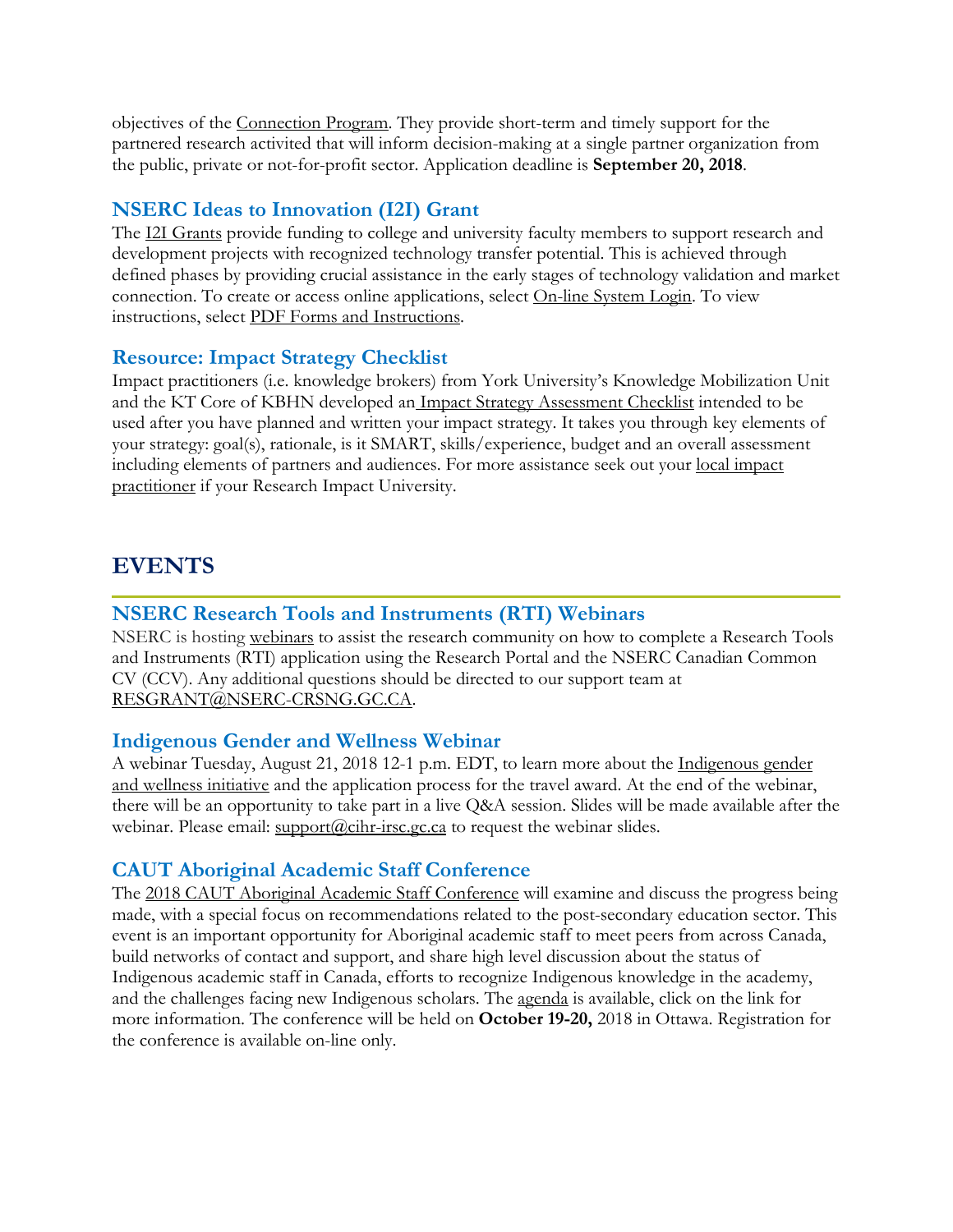objectives of the [Connection Program.](http://www.sshrc-crsh.gc.ca/funding-financement/umbrella_programs-programme_cadre/connection-connexion-eng.aspx) They provide short-term and timely support for the partnered research activited that will inform decision-making at a single partner organization from the public, private or not-for-profit sector. Application deadline is **September 20, 2018**.

#### **NSERC Ideas to Innovation (I2I) Grant**

The [I2I Grants](http://www.nserc-crsng.gc.ca/Professors-Professeurs/RPP-PP/I2I-INNOV_eng.asp) provide funding to college and university faculty members to support research and development projects with recognized technology transfer potential. This is achieved through defined phases by providing crucial assistance in the early stages of technology validation and market connection. To create or access online applications, select [On-line System Login.](https://ebiz.nserc.ca/nserc_web/nserc_login_e.htm) To view instructions, select [PDF Forms and Instructions.](http://www.nserc-crsng.gc.ca/OnlineServices-ServicesEnLigne/Forms-Formulaires_eng.asp)

#### **Resource: Impact Strategy Checklist**

Impact practitioners (i.e. knowledge brokers) from York University's Knowledge Mobilization Unit and the KT Core of KBHN developed an [Impact Strategy Assessment Checklist](http://researchimpact.ca/wp-content/uploads/2018/08/Impact-Strategy-Assessment-Checklist.pdf) intended to be used after you have planned and written your impact strategy. It takes you through key elements of your strategy: goal(s), rationale, is it SMART, skills/experience, budget and an overall assessment including elements of partners and audiences. For more assistance seek out your [local impact](http://researchimpact.ca/about-ric/#members)  [practitioner](http://researchimpact.ca/about-ric/#members) if your Research Impact University.

## **EVENTS**

#### **NSERC Research Tools and Instruments (RTI) Webinars**

NSERC is hosting [webinars](http://www.nserc-crsng.gc.ca/ResearchPortal-PortailDeRecherche/RP-CCV-Webinar_eng.asp) to assist the research community on how to complete a Research Tools and Instruments (RTI) application using the Research Portal and the NSERC Canadian Common CV (CCV). Any additional questions should be directed to our support team at [RESGRANT@NSERC-CRSNG.GC.CA.](mailto:RESGRANT@NSERC-CRSNG.GC.CA)

#### **Indigenous Gender and Wellness Webinar**

A webinar Tuesday, August 21, 2018 12-1 p.m. EDT, to learn more about the [Indigenous gender](http://www.cihr-irsc.gc.ca/e/50945.html)  [and wellness initiative](http://www.cihr-irsc.gc.ca/e/50945.html) and the application process for the travel award. At the end of the webinar, there will be an opportunity to take part in a live Q&A session. Slides will be made available after the webinar. Please email:  $\frac{\text{support}(a)}{\text{c}ihr\text{-}rsc.gc.ca}$  to request the webinar slides.

#### **CAUT Aboriginal Academic Staff Conference**

The [2018 CAUT Aboriginal Academic Staff Conference](https://www.caut.ca/event/caut-aboriginal-academic-staff-conference) will examine and discuss the progress being made, with a special focus on recommendations related to the post-secondary education sector. This event is an important opportunity for Aboriginal academic staff to meet peers from across Canada, build networks of contact and support, and share high level discussion about the status of Indigenous academic staff in Canada, efforts to recognize Indigenous knowledge in the academy, and the challenges facing new Indigenous scholars. The [agenda](https://www.caut.ca/sites/default/files/draft_agenda_-_caut_aboriginal_academic_staff_conference_-_october_19-20_2018_2018-06-20.pdf) is available, click on the link for more information. The conference will be held on **October 19-20,** 2018 in Ottawa. Registration for the conference is available on-line only.